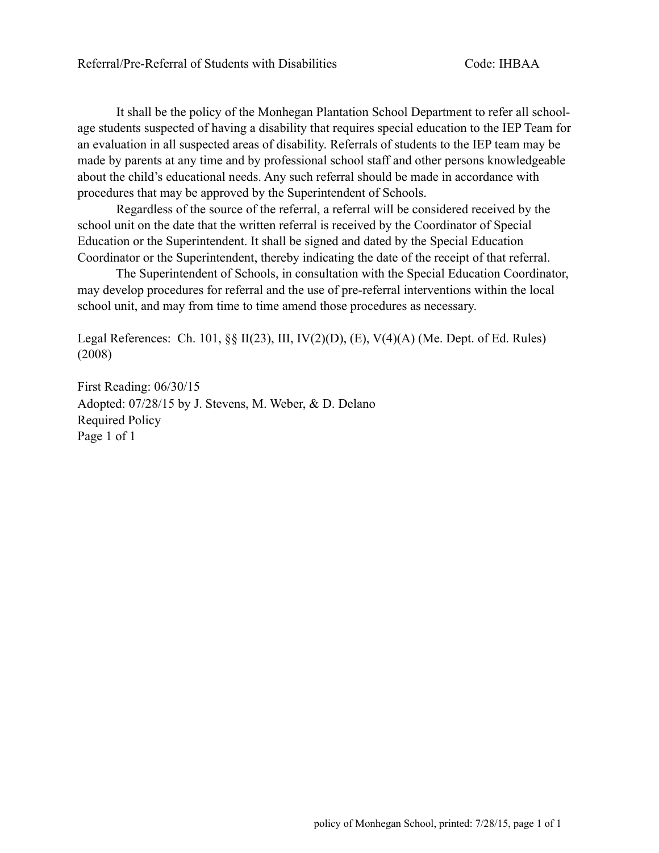It shall be the policy of the Monhegan Plantation School Department to refer all schoolage students suspected of having a disability that requires special education to the IEP Team for an evaluation in all suspected areas of disability. Referrals of students to the IEP team may be made by parents at any time and by professional school staff and other persons knowledgeable about the child's educational needs. Any such referral should be made in accordance with procedures that may be approved by the Superintendent of Schools.

 Regardless of the source of the referral, a referral will be considered received by the school unit on the date that the written referral is received by the Coordinator of Special Education or the Superintendent. It shall be signed and dated by the Special Education Coordinator or the Superintendent, thereby indicating the date of the receipt of that referral.

 The Superintendent of Schools, in consultation with the Special Education Coordinator, may develop procedures for referral and the use of pre-referral interventions within the local school unit, and may from time to time amend those procedures as necessary.

Legal References: Ch. 101,  $\S$  $\Pi$   $\Pi$ (23),  $\Pi$ ,  $\Pi$  $\Pi$ (2)(D), (E),  $V$ (4)(A) (Me. Dept. of Ed. Rules) (2008)

First Reading: 06/30/15 Adopted: 07/28/15 by J. Stevens, M. Weber, & D. Delano Required Policy Page 1 of 1